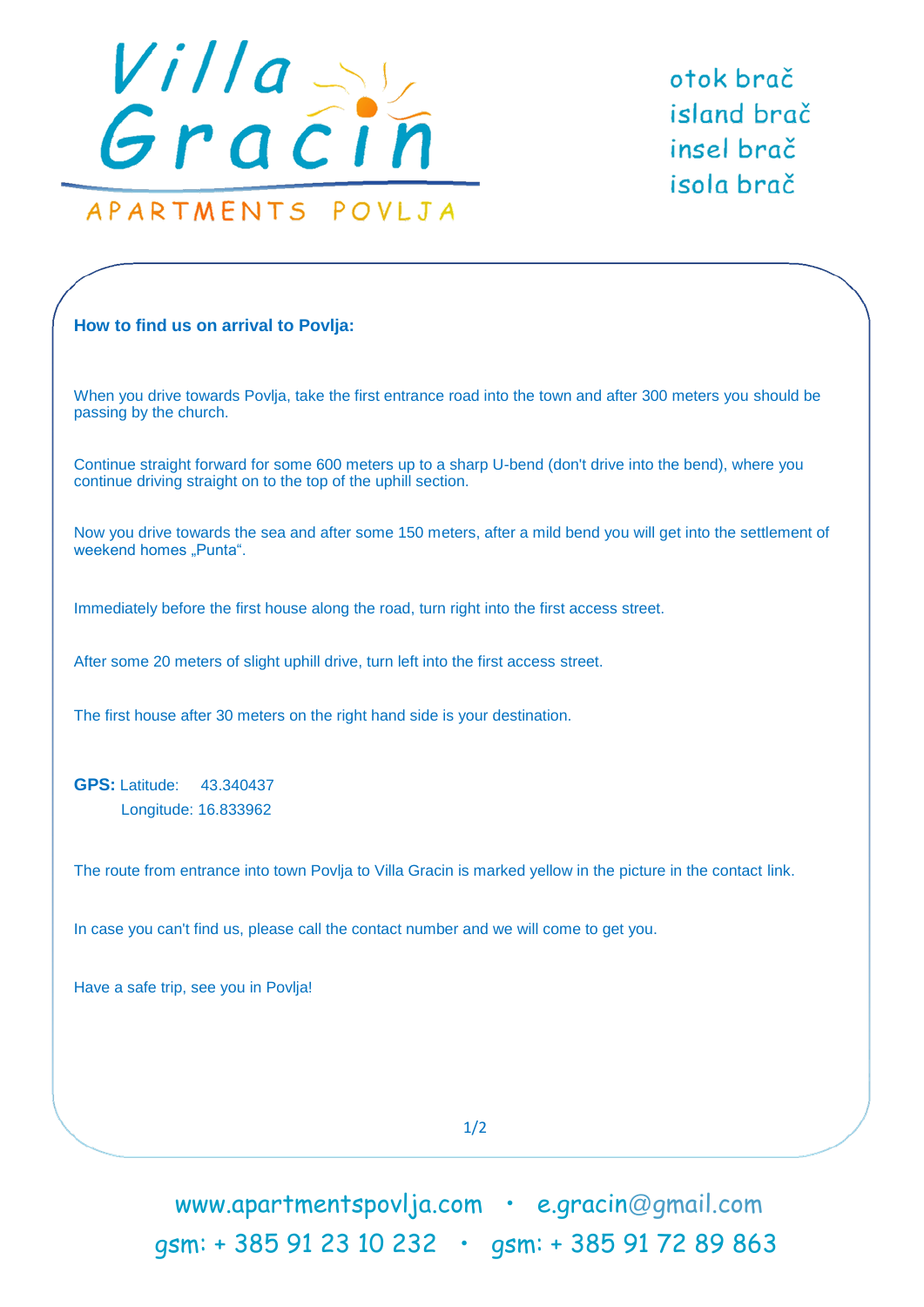

otok brač island brač insel brač isola brač

## **How to find us on arrival to Povlja:**

When you drive towards Povlja, take the first entrance road into the town and after 300 meters you should be passing by the church.

Continue straight forward for some 600 meters up to a sharp U-bend (don't drive into the bend), where you continue driving straight on to the top of the uphill section.

Now you drive towards the sea and after some 150 meters, after a mild bend you will get into the settlement of weekend homes "Punta".

Immediately before the first house along the road, turn right into the first access street.

After some 20 meters of slight uphill drive, turn left into the first access street.

The first house after 30 meters on the right hand side is your destination.

**GPS:** Latitude: 43.340437 Longitude: 16.833962

The route from entrance into town Povlja to Villa Gracin is marked yellow in the picture in the contact link.

In case you can't find us, please call the contact number and we will come to get you.

Have a safe trip, see you in Povlja!

1/2

www.apartmentspovlja.com · e.gracin@gmail.com .... gsm: + 385 91 23 10 232 • gsm: + 385 91 72 89 863